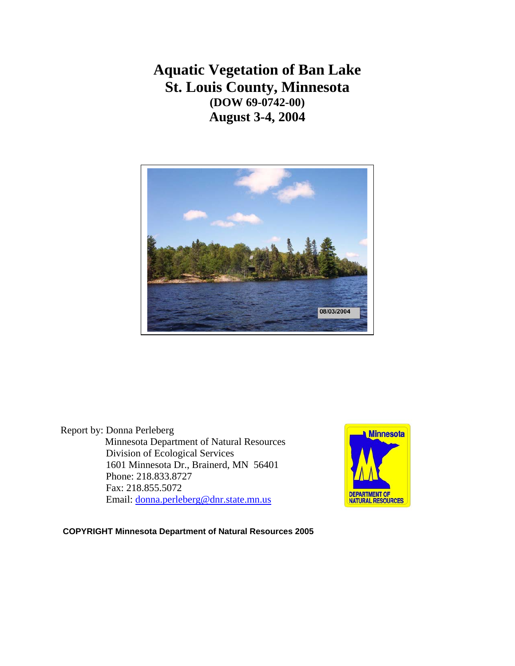**Aquatic Vegetation of Ban Lake St. Louis County, Minnesota (DOW 69-0742-00) August 3-4, 2004** 



Report by: Donna Perleberg Minnesota Department of Natural Resources Division of Ecological Services 1601 Minnesota Dr., Brainerd, MN 56401 Phone: 218.833.8727 Fax: 218.855.5072 Email: [donna.perleberg@dnr.state.mn.us](mailto:donna.perleberg@dnr.state.mn.us)



 **COPYRIGHT Minnesota Department of Natural Resources 2005**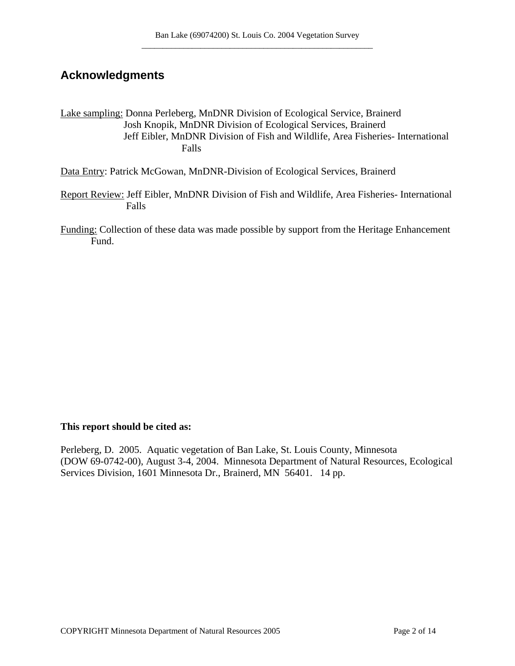## **Acknowledgments**

Lake sampling: Donna Perleberg, MnDNR Division of Ecological Service, Brainerd Josh Knopik, MnDNR Division of Ecological Services, Brainerd Jeff Eibler, MnDNR Division of Fish and Wildlife, Area Fisheries- International Falls

Data Entry: Patrick McGowan, MnDNR-Division of Ecological Services, Brainerd

Report Review: Jeff Eibler, MnDNR Division of Fish and Wildlife, Area Fisheries- International Falls

Funding: Collection of these data was made possible by support from the Heritage Enhancement Fund.

#### **This report should be cited as:**

Perleberg, D. 2005. Aquatic vegetation of Ban Lake, St. Louis County, Minnesota (DOW 69-0742-00), August 3-4, 2004. Minnesota Department of Natural Resources, Ecological Services Division, 1601 Minnesota Dr., Brainerd, MN 56401. 14 pp.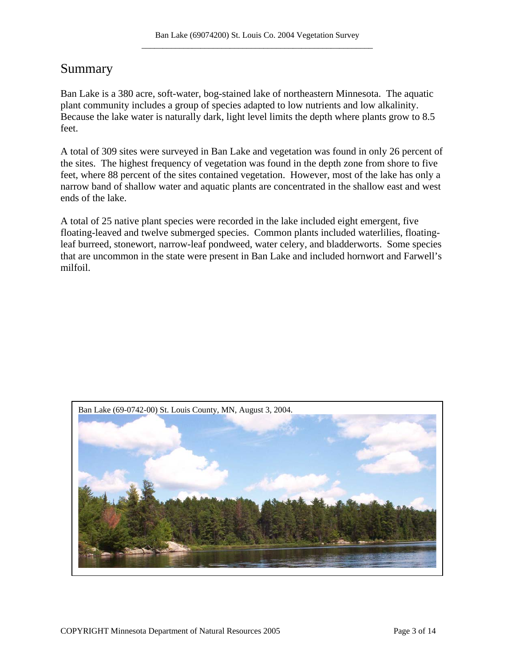## Summary

Ban Lake is a 380 acre, soft-water, bog-stained lake of northeastern Minnesota. The aquatic plant community includes a group of species adapted to low nutrients and low alkalinity. Because the lake water is naturally dark, light level limits the depth where plants grow to 8.5 feet.

A total of 309 sites were surveyed in Ban Lake and vegetation was found in only 26 percent of the sites. The highest frequency of vegetation was found in the depth zone from shore to five feet, where 88 percent of the sites contained vegetation. However, most of the lake has only a narrow band of shallow water and aquatic plants are concentrated in the shallow east and west ends of the lake.

A total of 25 native plant species were recorded in the lake included eight emergent, five floating-leaved and twelve submerged species. Common plants included waterlilies, floatingleaf burreed, stonewort, narrow-leaf pondweed, water celery, and bladderworts. Some species that are uncommon in the state were present in Ban Lake and included hornwort and Farwell's milfoil.

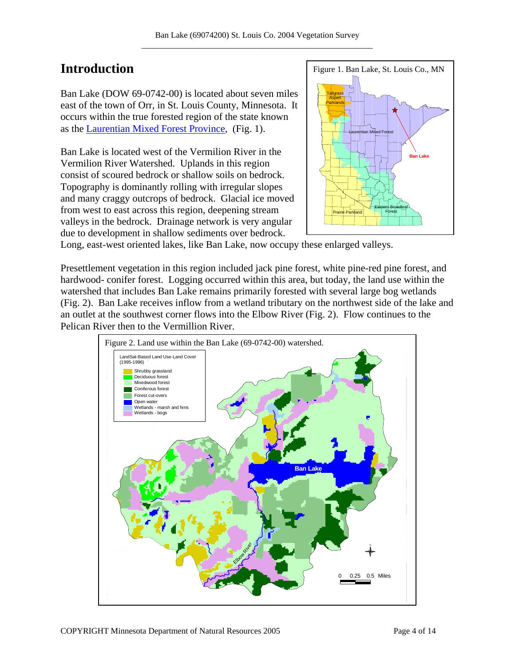# **Introduction**

Ban Lake (DOW 69-0742-00) is located about seven miles east of the town of Orr, in St. Louis County, Minnesota. It occurs within the true forested region of the state known as the [Laurentian Mixed Forest Province,](http://www.dnr.state.mn.us/ecs/index.html) (Fig. 1).

Ban Lake is located west of the Vermilion River in the Vermilion River Watershed. Uplands in this region consist of scoured bedrock or shallow soils on bedrock. Topography is dominantly rolling with irregular slopes and many craggy outcrops of bedrock. Glacial ice moved from west to east across this region, deepening stream valleys in the bedrock. Drainage network is very angular due to development in shallow sediments over bedrock.



Long, east-west oriented lakes, like Ban Lake, now occupy these enlarged valleys.

Presettlement vegetation in this region included jack pine forest, white pine-red pine forest, and hardwood- conifer forest. Logging occurred within this area, but today, the land use within the watershed that includes Ban Lake remains primarily forested with several large bog wetlands (Fig. 2). Ban Lake receives inflow from a wetland tributary on the northwest side of the lake and an outlet at the southwest corner flows into the Elbow River (Fig. 2). Flow continues to the Pelican River then to the Vermillion River.

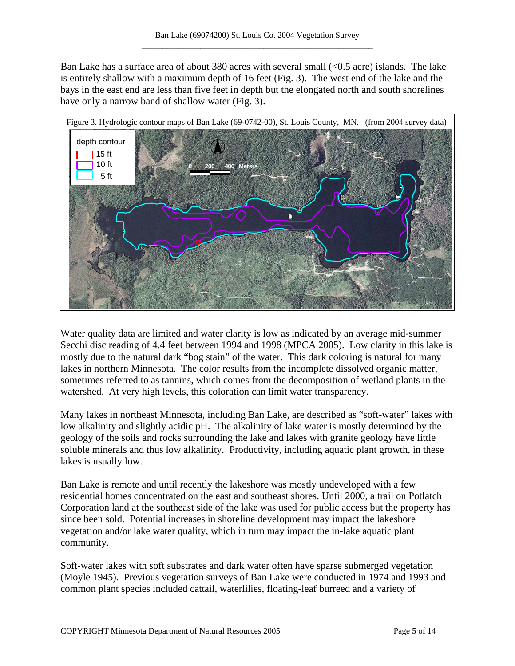Ban Lake has a surface area of about 380 acres with several small (<0.5 acre) islands. The lake is entirely shallow with a maximum depth of 16 feet (Fig. 3). The west end of the lake and the bays in the east end are less than five feet in depth but the elongated north and south shorelines have only a narrow band of shallow water (Fig. 3).



Water quality data are limited and water clarity is low as indicated by an average mid-summer Secchi disc reading of 4.4 feet between 1994 and 1998 (MPCA 2005). Low clarity in this lake is mostly due to the natural dark "bog stain" of the water. This dark coloring is natural for many lakes in northern Minnesota. The color results from the incomplete dissolved organic matter, sometimes referred to as tannins, which comes from the decomposition of wetland plants in the watershed. At very high levels, this coloration can limit water transparency.

Many lakes in northeast Minnesota, including Ban Lake, are described as "soft-water" lakes with low alkalinity and slightly acidic pH. The alkalinity of lake water is mostly determined by the geology of the soils and rocks surrounding the lake and lakes with granite geology have little soluble minerals and thus low alkalinity. Productivity, including aquatic plant growth, in these lakes is usually low.

Ban Lake is remote and until recently the lakeshore was mostly undeveloped with a few residential homes concentrated on the east and southeast shores. Until 2000, a trail on Potlatch Corporation land at the southeast side of the lake was used for public access but the property has since been sold. Potential increases in shoreline development may impact the lakeshore vegetation and/or lake water quality, which in turn may impact the in-lake aquatic plant community.

Soft-water lakes with soft substrates and dark water often have sparse submerged vegetation (Moyle 1945). Previous vegetation surveys of Ban Lake were conducted in 1974 and 1993 and common plant species included cattail, waterlilies, floating-leaf burreed and a variety of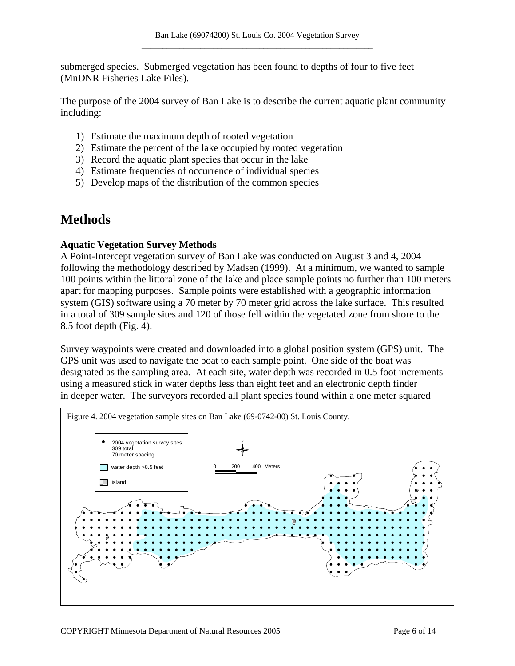submerged species. Submerged vegetation has been found to depths of four to five feet (MnDNR Fisheries Lake Files).

The purpose of the 2004 survey of Ban Lake is to describe the current aquatic plant community including:

- 1) Estimate the maximum depth of rooted vegetation
- 2) Estimate the percent of the lake occupied by rooted vegetation
- 3) Record the aquatic plant species that occur in the lake
- 4) Estimate frequencies of occurrence of individual species
- 5) Develop maps of the distribution of the common species

# **Methods**

#### **Aquatic Vegetation Survey Methods**

A Point-Intercept vegetation survey of Ban Lake was conducted on August 3 and 4, 2004 following the methodology described by Madsen (1999). At a minimum, we wanted to sample 100 points within the littoral zone of the lake and place sample points no further than 100 meters apart for mapping purposes. Sample points were established with a geographic information system (GIS) software using a 70 meter by 70 meter grid across the lake surface. This resulted in a total of 309 sample sites and 120 of those fell within the vegetated zone from shore to the 8.5 foot depth (Fig. 4).

Survey waypoints were created and downloaded into a global position system (GPS) unit. The GPS unit was used to navigate the boat to each sample point. One side of the boat was designated as the sampling area. At each site, water depth was recorded in 0.5 foot increments using a measured stick in water depths less than eight feet and an electronic depth finder in deeper water. The surveyors recorded all plant species found within a one meter squared

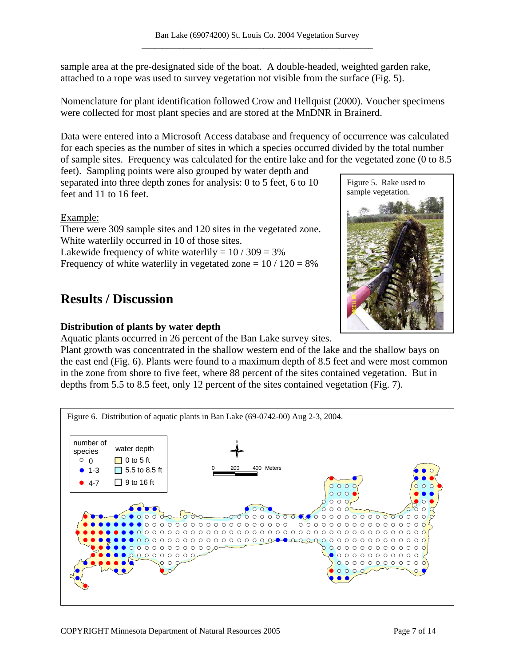sample area at the pre-designated side of the boat. A double-headed, weighted garden rake, attached to a rope was used to survey vegetation not visible from the surface (Fig. 5).

Nomenclature for plant identification followed Crow and Hellquist (2000). Voucher specimens were collected for most plant species and are stored at the MnDNR in Brainerd.

Data were entered into a Microsoft Access database and frequency of occurrence was calculated for each species as the number of sites in which a species occurred divided by the total number of sample sites. Frequency was calculated for the entire lake and for the vegetated zone (0 to 8.5

feet). Sampling points were also grouped by water depth and separated into three depth zones for analysis: 0 to 5 feet, 6 to 10 feet and 11 to 16 feet.

Example:

There were 309 sample sites and 120 sites in the vegetated zone. White waterlily occurred in 10 of those sites. Lakewide frequency of white waterlily =  $10/309 = 3\%$ Frequency of white waterlily in vegetated zone  $= 10 / 120 = 8\%$ 

# **Results / Discussion**

### **Distribution of plants by water depth**

Aquatic plants occurred in 26 percent of the Ban Lake survey sites.

Plant growth was concentrated in the shallow western end of the lake and the shallow bays on the east end (Fig. 6). Plants were found to a maximum depth of 8.5 feet and were most common in the zone from shore to five feet, where 88 percent of the sites contained vegetation. But in depths from 5.5 to 8.5 feet, only 12 percent of the sites contained vegetation (Fig. 7).



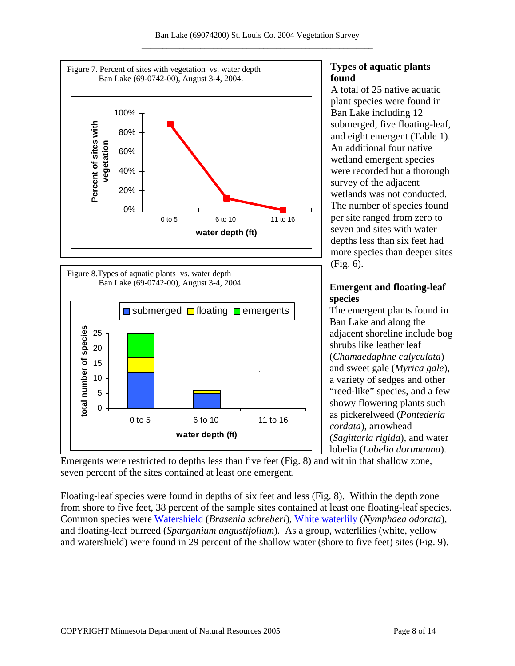



## **Types of aquatic plants found**

A total of 25 native aquatic plant species were found in Ban Lake including 12 submerged, five floating-leaf, and eight emergent (Table 1). An additional four native wetland emergent species were recorded but a thorough survey of the adjacent wetlands was not conducted. The number of species found per site ranged from zero to seven and sites with water depths less than six feet had more species than deeper sites (Fig. 6).

### **Emergent and floating-leaf species**

The emergent plants found in Ban Lake and along the adjacent shoreline include bog shrubs like leather leaf (*Chamaedaphne calyculata*) and sweet gale (*Myrica gale*), a variety of sedges and other "reed-like" species, and a few showy flowering plants such as pickerelweed (*Pontederia cordata*), arrowhead (*Sagittaria rigida*), and water lobelia (*Lobelia dortmanna*).

Emergents were restricted to depths less than five feet (Fig. 8) and within that shallow zone, seven percent of the sites contained at least one emergent.

Floating-leaf species were found in depths of six feet and less (Fig. 8). Within the depth zone from shore to five feet, 38 percent of the sample sites contained at least one floating-leaf species. Common species were [Watershield](http://www.dnr.state.mn.us/aquatic_plants/floatingleaf_plants/watershield.html) (*Brasenia schreberi*), [White waterlily](http://www.dnr.state.mn.us/aquatic_plants/floatingleaf_plants/white_water_lily.html) (*Nymphaea odorata*), and floating-leaf burreed (*Sparganium angustifolium*). As a group, waterlilies (white, yellow and watershield) were found in 29 percent of the shallow water (shore to five feet) sites (Fig. 9).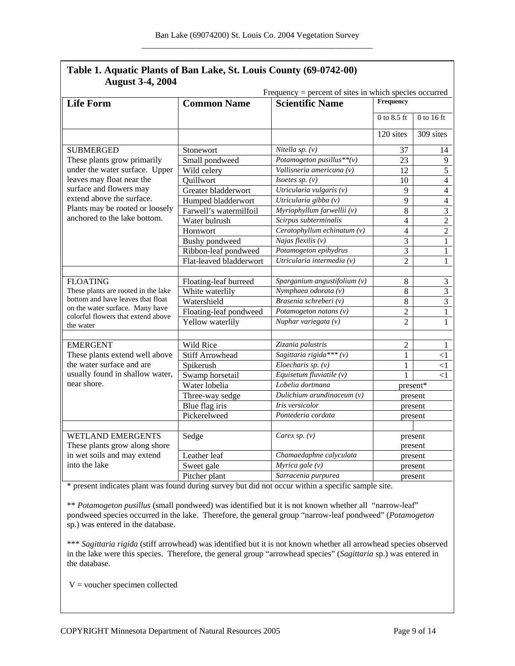| August 5-4, 2004<br>Frequency = percent of sites in which species occurred                                                                                                                                                                |                         |                                           |                    |                |
|-------------------------------------------------------------------------------------------------------------------------------------------------------------------------------------------------------------------------------------------|-------------------------|-------------------------------------------|--------------------|----------------|
| <b>Life Form</b>                                                                                                                                                                                                                          | <b>Common Name</b>      | <b>Scientific Name</b>                    | Frequency          |                |
|                                                                                                                                                                                                                                           |                         |                                           | $0$ to $8.5$ ft    | $0$ to 16 ft   |
|                                                                                                                                                                                                                                           |                         |                                           | 120 sites          | 309 sites      |
| <b>SUBMERGED</b><br>These plants grow primarily<br>under the water surface. Upper<br>leaves may float near the<br>surface and flowers may<br>extend above the surface.<br>Plants may be rooted or loosely<br>anchored to the lake bottom. | Stonewort               | Nitella sp. $(v)$                         | 37                 | 14             |
|                                                                                                                                                                                                                                           | Small pondweed          | Potamogeton pusillus ** (v)               | 23                 | 9              |
|                                                                                                                                                                                                                                           | Wild celery             | Vallisneria americana (v)                 | 12                 | $\overline{5}$ |
|                                                                                                                                                                                                                                           | Ouillwort               | Isoetes sp. $(v)$                         | 10                 | $\overline{4}$ |
|                                                                                                                                                                                                                                           | Greater bladderwort     | Utricularia vulgaris $(v)$                | 9                  | $\overline{4}$ |
|                                                                                                                                                                                                                                           | Humped bladderwort      | Utricularia gibba (v)                     | 9                  | $\overline{4}$ |
|                                                                                                                                                                                                                                           | Farwell's watermilfoil  | Myriophyllum farwellii (v)                | 8                  | $\overline{3}$ |
|                                                                                                                                                                                                                                           | Water bulrush           | Scirpus subterminalis                     | $\overline{4}$     | $\overline{2}$ |
|                                                                                                                                                                                                                                           | Hornwort                | Ceratophyllum echinatum $(v)$             | $\overline{4}$     | $\overline{2}$ |
|                                                                                                                                                                                                                                           | Bushy pondweed          | Najas flexilis $(v)$                      | $\overline{3}$     | $\overline{1}$ |
|                                                                                                                                                                                                                                           | Ribbon-leaf pondweed    | Potamogeton epihydrus                     | 3                  | $\mathbf{1}$   |
|                                                                                                                                                                                                                                           | Flat-leaved bladderwort | Utricularia intermedia (v)                | $\overline{2}$     | $\mathbf{1}$   |
|                                                                                                                                                                                                                                           |                         |                                           |                    |                |
| <b>FLOATING</b><br>These plants are rooted in the lake<br>bottom and have leaves that float<br>on the water surface. Many have<br>colorful flowers that extend above<br>the water                                                         | Floating-leaf burreed   | Sparganium angustifolium $\overline{(v)}$ | 8                  |                |
|                                                                                                                                                                                                                                           | White waterlily         | Nymphaea odorata (v)                      | 8                  | $\frac{3}{3}$  |
|                                                                                                                                                                                                                                           | Watershield             | Brasenia schreberi (v)                    | 8                  |                |
|                                                                                                                                                                                                                                           | Floating-leaf pondweed  | Potamogeton natans $(v)$                  | $\overline{2}$     | $\overline{1}$ |
|                                                                                                                                                                                                                                           | Yellow waterlily        | Nuphar variegata (v)                      | $\overline{2}$     | $\mathbf{1}$   |
| <b>EMERGENT</b>                                                                                                                                                                                                                           | <b>Wild Rice</b>        | Zizania palustris                         | $\overline{2}$     | 1              |
| These plants extend well above<br>the water surface and are<br>usually found in shallow water,<br>near shore.                                                                                                                             | <b>Stiff Arrowhead</b>  | Sagittaria rigida *** (v)                 | 1                  | $<$ 1          |
|                                                                                                                                                                                                                                           | Spikerush               | $Eloecharis$ sp. $(v)$                    | $\mathbf{1}$       | $\leq$ 1       |
|                                                                                                                                                                                                                                           | Swamp horsetail         | Equisetum fluviatile $(v)$                | 1                  | $\leq$ 1       |
|                                                                                                                                                                                                                                           | Water lobelia           | Lobelia dortmana                          | present*           |                |
|                                                                                                                                                                                                                                           | Three-way sedge         | Dulichium arundinaceum (v)                | present            |                |
|                                                                                                                                                                                                                                           | Blue flag iris          | <b>Iris</b> versicolor                    |                    |                |
|                                                                                                                                                                                                                                           | Pickerelweed            | Pontederia cordata                        | present            |                |
|                                                                                                                                                                                                                                           |                         |                                           | present            |                |
| <b>WETLAND EMERGENTS</b>                                                                                                                                                                                                                  | Sedge                   | Carex sp. $(v)$                           | present<br>present |                |
| These plants grow along shore                                                                                                                                                                                                             |                         |                                           |                    |                |
| in wet soils and may extend<br>into the lake                                                                                                                                                                                              | Leather leaf            | Chamaedaphne calyculata                   | present            |                |
|                                                                                                                                                                                                                                           | Sweet gale              | $Myrica$ gale $(v)$                       | present            |                |
|                                                                                                                                                                                                                                           | Pitcher plant           | Sarracenia purpurea                       | present            |                |

### **Table 1. Aquatic Plants of Ban Lake, St. Louis County (69-0742-00) August 3-4, 2004**

\* present indicates plant was found during survey but did not occur within a specific sample site.

\*\* *Potamogeton pusillus* (small pondweed) was identified but it is not known whether all "narrow-leaf" pondweed species occurred in the lake. Therefore, the general group "narrow-leaf pondweed" (*Potamogeton* sp.) was entered in the database.

\*\*\* *Sagittaria rigida* (stiff arrowhead) was identified but it is not known whether all arrowhead species observed in the lake were this species. Therefore, the general group "arrowhead species" (*Sagittaria* sp.) was entered in the database.

 $V =$  voucher specimen collected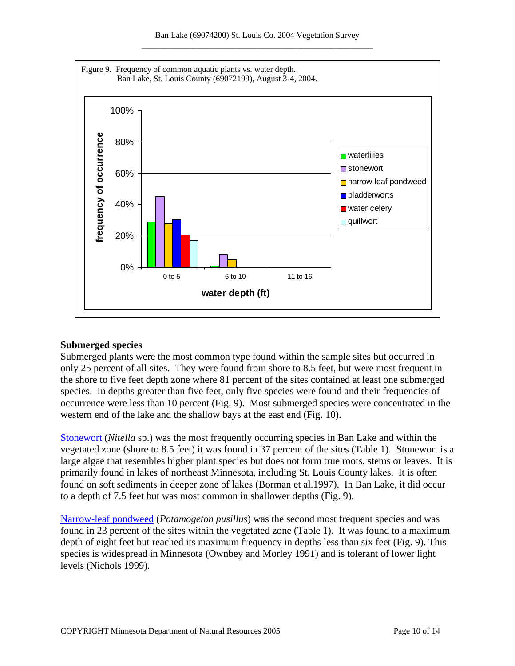

#### **Submerged species**

Submerged plants were the most common type found within the sample sites but occurred in only 25 percent of all sites. They were found from shore to 8.5 feet, but were most frequent in the shore to five feet depth zone where 81 percent of the sites contained at least one submerged species. In depths greater than five feet, only five species were found and their frequencies of occurrence were less than 10 percent (Fig. 9). Most submerged species were concentrated in the western end of the lake and the shallow bays at the east end (Fig. 10).

[Stonewort](http://www.dnr.state.mn.us/aquatic_plants/algae/stonewort.html) (*Nitella* sp.) was the most frequently occurring species in Ban Lake and within the vegetated zone (shore to 8.5 feet) it was found in 37 percent of the sites (Table 1). Stonewort is a large algae that resembles higher plant species but does not form true roots, stems or leaves. It is primarily found in lakes of northeast Minnesota, including St. Louis County lakes. It is often found on soft sediments in deeper zone of lakes (Borman et al.1997). In Ban Lake, it did occur to a depth of 7.5 feet but was most common in shallower depths (Fig. 9).

[Narrow-leaf pondweed](http://www.dnr.state.mn.us/aquatic_plants/submerged_plants/narrowleaf_pondweeds.html) (*Potamogeton pusillus*) was the second most frequent species and was found in 23 percent of the sites within the vegetated zone (Table 1). It was found to a maximum depth of eight feet but reached its maximum frequency in depths less than six feet (Fig. 9). This species is widespread in Minnesota (Ownbey and Morley 1991) and is tolerant of lower light levels (Nichols 1999).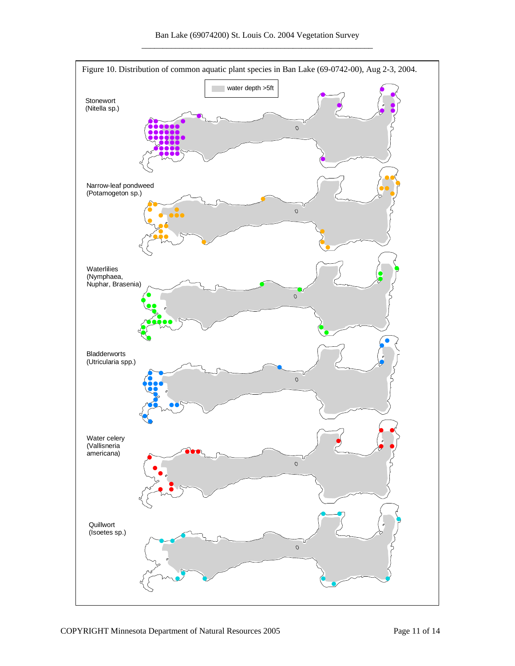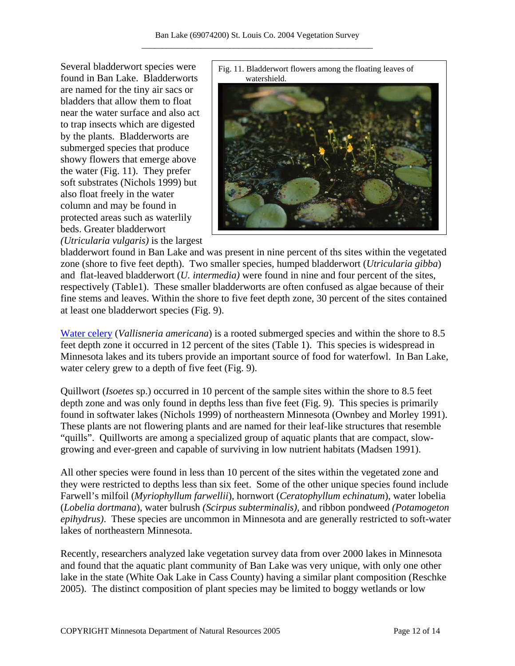Several bladderwort species were found in Ban Lake. Bladderworts are named for the tiny air sacs or bladders that allow them to float near the water surface and also act to trap insects which are digested by the plants. Bladderworts are submerged species that produce showy flowers that emerge above the water (Fig. 11). They prefer soft substrates (Nichols 1999) but also float freely in the water column and may be found in protected areas such as waterlily beds. Greater bladderwort *(Utricularia vulgaris)* is the largest





bladderwort found in Ban Lake and was present in nine percent of ths sites within the vegetated zone (shore to five feet depth). Two smaller species, humped bladderwort (*Utricularia gibba*) and flat-leaved bladderwort (*U. intermedia)* were found in nine and four percent of the sites, respectively (Table1). These smaller bladderworts are often confused as algae because of their fine stems and leaves. Within the shore to five feet depth zone, 30 percent of the sites contained at least one bladderwort species (Fig. 9).

[Water celery](http://www.dnr.state.mn.us/aquatic_plants/submerged_plants/wild_celery.html) (*Vallisneria americana*) is a rooted submerged species and within the shore to 8.5 feet depth zone it occurred in 12 percent of the sites (Table 1). This species is widespread in Minnesota lakes and its tubers provide an important source of food for waterfowl. In Ban Lake, water celery grew to a depth of five feet (Fig. 9).

Quillwort (*Isoetes* sp.) occurred in 10 percent of the sample sites within the shore to 8.5 feet depth zone and was only found in depths less than five feet (Fig. 9). This species is primarily found in softwater lakes (Nichols 1999) of northeastern Minnesota (Ownbey and Morley 1991). These plants are not flowering plants and are named for their leaf-like structures that resemble "quills". Quillworts are among a specialized group of aquatic plants that are compact, slowgrowing and ever-green and capable of surviving in low nutrient habitats (Madsen 1991).

All other species were found in less than 10 percent of the sites within the vegetated zone and they were restricted to depths less than six feet. Some of the other unique species found include Farwell's milfoil (*Myriophyllum farwellii*), hornwort (*Ceratophyllum echinatum*), water lobelia (*Lobelia dortmana*), water bulrush *(Scirpus subterminalis),* and ribbon pondweed *(Potamogeton epihydrus)*. These species are uncommon in Minnesota and are generally restricted to soft-water lakes of northeastern Minnesota.

Recently, researchers analyzed lake vegetation survey data from over 2000 lakes in Minnesota and found that the aquatic plant community of Ban Lake was very unique, with only one other lake in the state (White Oak Lake in Cass County) having a similar plant composition (Reschke 2005). The distinct composition of plant species may be limited to boggy wetlands or low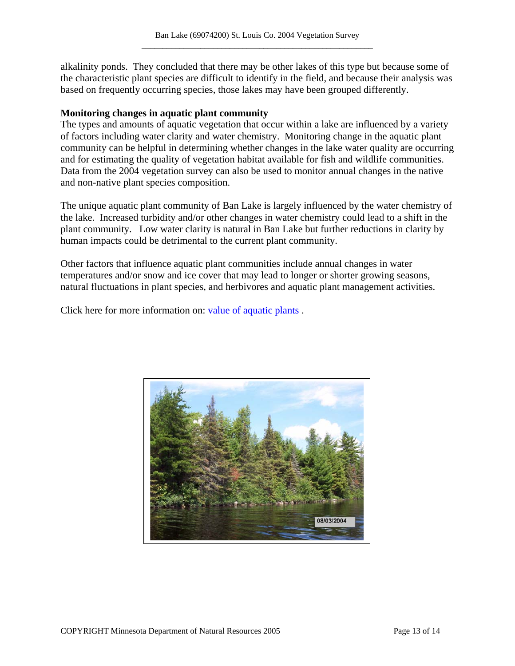alkalinity ponds. They concluded that there may be other lakes of this type but because some of the characteristic plant species are difficult to identify in the field, and because their analysis was based on frequently occurring species, those lakes may have been grouped differently.

#### **Monitoring changes in aquatic plant community**

The types and amounts of aquatic vegetation that occur within a lake are influenced by a variety of factors including water clarity and water chemistry. Monitoring change in the aquatic plant community can be helpful in determining whether changes in the lake water quality are occurring and for estimating the quality of vegetation habitat available for fish and wildlife communities. Data from the 2004 vegetation survey can also be used to monitor annual changes in the native and non-native plant species composition.

The unique aquatic plant community of Ban Lake is largely influenced by the water chemistry of the lake. Increased turbidity and/or other changes in water chemistry could lead to a shift in the plant community. Low water clarity is natural in Ban Lake but further reductions in clarity by human impacts could be detrimental to the current plant community.

Other factors that influence aquatic plant communities include annual changes in water temperatures and/or snow and ice cover that may lead to longer or shorter growing seasons, natural fluctuations in plant species, and herbivores and aquatic plant management activities.

Click here for more information on: [value of aquatic plants .](http://www.dnr.state.mn.us/shorelandmgmt/apg/value.html)